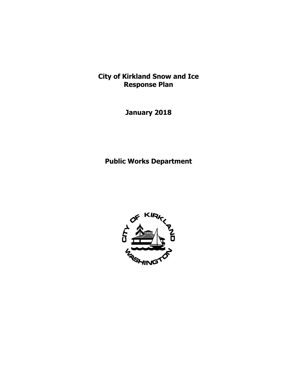**City of Kirkland Snow and Ice Response Plan** 

**January 2018** 

**Public Works Department** 

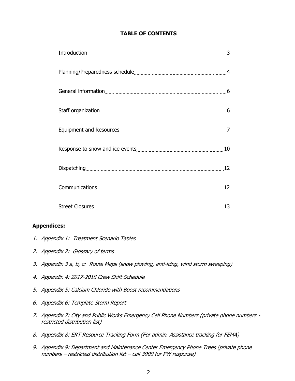# **TABLE OF CONTENTS**

| 13 |
|----|

### **Appendices:**

- 1. Appendix 1: Treatment Scenario Tables
- 2. Appendix 2: Glossary of terms
- 3. Appendix 3 a, b, c: Route Maps (snow plowing, anti-icing, wind storm sweeping)
- 4. Appendix 4: 2017-2018 Crew Shift Schedule
- 5. Appendix 5: Calcium Chloride with Boost recommendations
- 6. Appendix 6: Template Storm Report
- 7. Appendix 7: City and Public Works Emergency Cell Phone Numbers (private phone numbers restricted distribution list)
- 8. Appendix 8: ERT Resource Tracking Form (For admin. Assistance tracking for FEMA)
- 9. Appendix 9: Department and Maintenance Center Emergency Phone Trees (private phone numbers – restricted distribution list – call 3900 for PW response)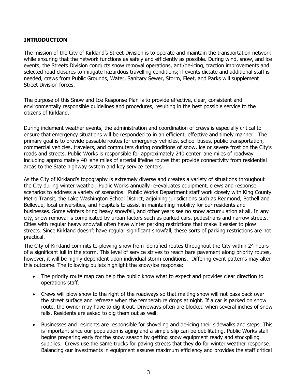# **INTRODUCTION**

The mission of the City of Kirkland's Street Division is to operate and maintain the transportation network while ensuring that the network functions as safely and efficiently as possible. During wind, snow, and ice events, the Streets Division conducts snow removal operations, anti/de-icing, traction improvements and selected road closures to mitigate hazardous travelling conditions; if events dictate and additional staff is needed, crews from Public Grounds, Water, Sanitary Sewer, Storm, Fleet, and Parks will supplement Street Division forces.

The purpose of this Snow and Ice Response Plan is to provide effective, clear, consistent and environmentally responsible guidelines and procedures, resulting in the best possible service to the citizens of Kirkland.

During inclement weather events, the administration and coordination of crews is especially critical to ensure that emergency situations will be responded to in an efficient, effective and timely manner. The primary goal is to provide passable routes for emergency vehicles, school buses, public transportation, commercial vehicles, travelers, and commuters during conditions of snow, ice or severe frost on the City's roads and streets. Public Works is responsible for approximately 240 center lane miles of roadway including approximately 40 lane miles of arterial lifeline routes that provide connectivity from residential areas to the State highway system and key service centers.

As the City of Kirkland's topography is extremely diverse and creates a variety of situations throughout the City during winter weather, Public Works annually re-evaluates equipment, crews and response scenarios to address a variety of scenarios. Public Works Department staff work closely with King County Metro Transit, the Lake Washington School District, adjoining jurisdictions such as Redmond, Bothell and Bellevue, local universities, and hospitals to assist in maintaining mobility for our residents and businesses. Some winters bring heavy snowfall, and other years see no snow accumulation at all. In any city, snow removal is complicated by urban factors such as parked cars, pedestrians and narrow streets. Cities with regular heavy snowfall often have winter parking restrictions that make it easier to plow streets. Since Kirkland doesn't have regular significant snowfall, these sorts of parking restrictions are not practical.

The City of Kirkland commits to plowing snow from identified routes throughout the City within 24 hours of a significant lull in the storm. This level of service strives to reach bare pavement along priority routes, however, it will be highly dependent upon individual storm conditions. Differing event patterns may alter this outcome. The following bullets highlight the snow/ice response:

- The priority route map can help the public know what to expect and provides clear direction to operations staff.
- Crews will plow snow to the right of the roadways so that melting snow will not pass back over the street surface and refreeze when the temperature drops at night. If a car is parked on snow route, the owner may have to dig it out. Driveways often are blocked when several inches of snow falls. Residents are asked to dig them out as well.
- Businesses and residents are responsible for shoveling and de-icing their sidewalks and steps. This is important since our population is aging and a simple slip can be debilitating. Public Works staff begins preparing early for the snow season by getting snow equipment ready and stockpiling supplies. Crews use the same trucks for paving streets that they do for winter weather response. Balancing our investments in equipment assures maximum efficiency and provides the staff critical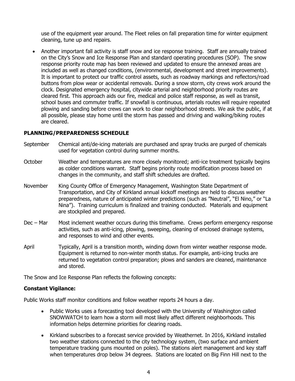use of the equipment year around. The Fleet relies on fall preparation time for winter equipment cleaning, tune up and repairs.

 Another important fall activity is staff snow and ice response training. Staff are annually trained on the City's Snow and Ice Response Plan and standard operating procedures (SOP). The snow response priority route map has been reviewed and updated to ensure the annexed areas are included as well as changed conditions, (environmental, development and street improvements). It is important to protect our traffic control assets, such as roadway markings and reflectors/road buttons from plow wear or accidental removals. During a snow storm, city crews work around the clock. Designated emergency hospital, citywide arterial and neighborhood priority routes are cleared first. This approach aids our fire, medical and police staff response, as well as transit, school buses and commuter traffic. If snowfall is continuous, arterials routes will require repeated plowing and sanding before crews can work to clear neighborhood streets. We ask the public, if at all possible, please stay home until the storm has passed and driving and walking/biking routes are cleared.

# **PLANNING/PREPAREDNESS SCHEDULE**

- September Chemical anti/de-icing materials are purchased and spray trucks are purged of chemicals used for vegetation control during summer months.
- October Weather and temperatures are more closely monitored; anti-ice treatment typically begins as colder conditions warrant. Staff begins priority route modification process based on changes in the community, and staff shift schedules are drafted.
- November King County Office of Emergency Management, Washington State Department of Transportation, and City of Kirkland annual kickoff meetings are held to discuss weather preparedness, nature of anticipated winter predictions (such as "Neutral", "El Nino," or "La Nina"). Training curriculum is finalized and training conducted. Materials and equipment are stockpiled and prepared.
- Dec Mar Most inclement weather occurs during this timeframe. Crews perform emergency response activities, such as anti-icing, plowing, sweeping, cleaning of enclosed drainage systems, and responses to wind and other events.
- April Typically, April is a transition month, winding down from winter weather response mode. Equipment is returned to non-winter month status. For example, anti-icing trucks are returned to vegetation control preparation; plows and sanders are cleaned, maintenance and stored.

The Snow and Ice Response Plan reflects the following concepts:

### **Constant Vigilance:**

Public Works staff monitor conditions and follow weather reports 24 hours a day.

- Public Works uses a forecasting tool developed with the University of Washington called SNOWWATCH to learn how a storm will most likely affect different neighborhoods. This information helps determine priorities for clearing roads.
- Kirkland subscribes to a forecast service provided by Weathernet. In 2016, Kirkland installed two weather stations connected to the city technology system, (two surface and ambient temperature tracking guns mounted on poles). The stations alert management and key staff when temperatures drop below 34 degrees. Stations are located on Big Finn Hill next to the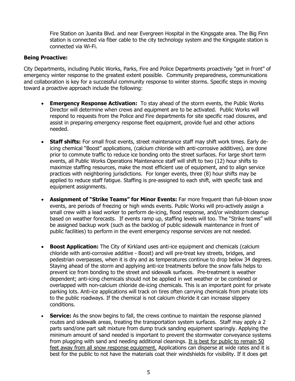Fire Station on Juanita Blvd. and near Evergreen Hospital in the Kingsgate area. The Big Finn station is connected via fiber cable to the city technology system and the Kingsgate station is connected via Wi-Fi.

# **Being Proactive:**

City Departments, including Public Works, Parks, Fire and Police Departments proactively "get in front" of emergency winter response to the greatest extent possible. Community preparedness, communications and collaboration is key for a successful community response to winter storms. Specific steps in moving toward a proactive approach include the following:

- **Emergency Response Activation:** To stay ahead of the storm events, the Public Works Director will determine when crews and equipment are to be activated. Public Works will respond to requests from the Police and Fire departments for site specific road closures, and assist in preparing emergency response fleet equipment, provide fuel and other actions needed.
- **Staff shifts:** For small frost events, street maintenance staff may shift work times. Early deicing chemical "Boost" applications, (calcium chloride with anti-corrosive additives), are done prior to commute traffic to reduce ice bonding onto the street surfaces. For large short term events, all Public Works Operations Maintenance staff will shift to two (12) hour shifts to maximize staffing resources, make the most efficient use of equipment, and to align service practices with neighboring jurisdictions. For longer events, three (8) hour shifts may be applied to reduce staff fatigue. Staffing is pre-assigned to each shift, with specific task and equipment assignments.
- **Assignment of "Strike Teams" for Minor Events:** Far more frequent than full-blown snow events, are periods of freezing or high winds events. Public Works will pro-actively assign a small crew with a lead worker to perform de-icing, flood response, and/or windstorm cleanup based on weather forecasts. If events ramp up, staffing levels will too. The "Strike teams" will be assigned backup work (such as the backlog of public sidewalk maintenance in front of public facilities) to perform in the event emergency response services are not needed.
- **Boost Application:** The City of Kirkland uses anti-ice equipment and chemicals (calcium chloride with anti-corrosive additive - Boost) and will pre-treat key streets, bridges, and pedestrian overpasses, when it is dry and as temperatures continue to drop below 34 degrees. Staying ahead of the storm and applying anti-ice treatments before the snow falls helps to prevent ice from bonding to the street and sidewalk surfaces. Pre-treatment is weather dependent; anti-icing chemicals should not be applied in wet weather or be combined or overlapped with non-calcium chloride de-icing chemicals. This is an important point for private parking lots. Anti-ice applications will track on tires often carrying chemicals from private lots to the public roadways. If the chemical is not calcium chloride it can increase slippery conditions.
- **Service:** As the snow begins to fall, the crews continue to maintain the response planned routes and sidewalk areas, treating the transportation system surfaces. Staff may apply a 2 parts sand/one part salt mixture from dump truck sanding equipment sparingly. Applying the minimum amount of sand needed is important to prevent the stormwater conveyance systems from plugging with sand and needing additional cleanings. It is best for public to remain 50 feet away from all snow response equipment. Applications can disperse at wide rates and it is best for the public to not have the materials coat their windshields for visibility. If it does get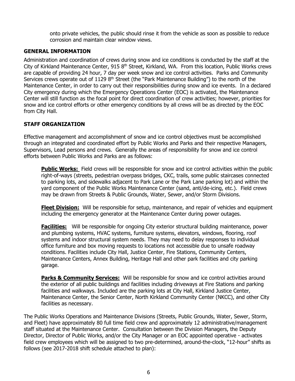onto private vehicles, the public should rinse it from the vehicle as soon as possible to reduce corrosion and maintain clear window views.

# **GENERAL INFORMATION**

Administration and coordination of crews during snow and ice conditions is conducted by the staff at the City of Kirkland Maintenance Center, 915 8<sup>th</sup> Street, Kirkland, WA. From this location, Public Works crews are capable of providing 24 hour, 7 day per week snow and ice control activities. Parks and Community Services crews operate out of 1129  $8<sup>th</sup>$  Street (the "Park Maintenance Building") to the north of the Maintenance Center, in order to carry out their responsibilities during snow and ice events. In a declared City emergency during which the Emergency Operations Center (EOC) is activated, the Maintenance Center will still function as the focal point for direct coordination of crew activities; however, priorities for snow and ice control efforts or other emergency conditions by all crews will be as directed by the EOC from City Hall.

# **STAFF ORGANIZATION**

Effective management and accomplishment of snow and ice control objectives must be accomplished through an integrated and coordinated effort by Public Works and Parks and their respective Managers, Supervisors, Lead persons and crews. Generally the areas of responsibility for snow and ice control efforts between Public Works and Parks are as follows:

**Public Works:** Field crews will be responsible for snow and ice control activities within the public right-of-ways (streets, pedestrian overpass bridges, CKC, trails, some public staircases connected to parking lots, and sidewalks adjacent to Park Lane or the Park Lane parking lot) and within the yard component of the Public Works Maintenance Center (sand, anti/de-icing, etc.). Field crews may be drawn from Streets & Public Grounds, Water, Sewer, and/or Storm Divisions.

**Fleet Division:** Will be responsible for setup, maintenance, and repair of vehicles and equipment including the emergency generator at the Maintenance Center during power outages.

**Facilities:** Will be responsible for ongoing City exterior structural building maintenance, power and plumbing systems, HVAC systems, furniture systems, elevators, windows, flooring, roof systems and indoor structural system needs. They may need to delay responses to individual office furniture and box moving requests to locations not accessible due to unsafe roadway conditions. Facilities include City Hall, Justice Center, Fire Stations, Community Centers, Maintenance Centers, Annex Building, Heritage Hall and other park facilities and city parking garage.

**Parks & Community Services:** Will be responsible for snow and ice control activities around the exterior of all public buildings and facilities including driveways at Fire Stations and parking facilities and walkways. Included are the parking lots at City Hall, Kirkland Justice Center, Maintenance Center, the Senior Center, North Kirkland Community Center (NKCC), and other City facilities as necessary.

The Public Works Operations and Maintenance Divisions (Streets, Public Grounds, Water, Sewer, Storm, and Fleet) have approximately 80 full time field crew and approximately 12 administrative/management staff situated at the Maintenance Center. Consultation between the Division Managers, the Deputy Director, Director of Public Works, and/or the City Manager or an EOC appointed operative - activates field crew employees which will be assigned to two pre-determined, around-the-clock, "12-hour" shifts as follows (see 2017-2018 shift schedule attached to plan):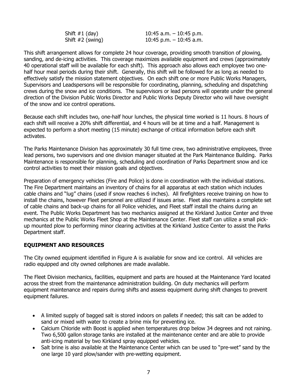| Shift #1 (day)     | 10:45 a.m. $-$ 10:45 p.m. |
|--------------------|---------------------------|
| Shift $#2$ (swing) | 10:45 p.m. $-$ 10:45 a.m. |

This shift arrangement allows for complete 24 hour coverage, providing smooth transition of plowing, sanding, and de-icing activities. This coverage maximizes available equipment and crews (approximately 40 operational staff will be available for each shift). This approach also allows each employee two onehalf hour meal periods during their shift. Generally, this shift will be followed for as long as needed to effectively satisfy the mission statement objectives. On each shift one or more Public Works Managers, Supervisors and Leadspersons will be responsible for coordinating, planning, scheduling and dispatching crews during the snow and ice conditions. The supervisors or lead persons will operate under the general direction of the Division Public Works Director and Public Works Deputy Director who will have oversight of the snow and ice control operations.

Because each shift includes two, one-half hour lunches, the physical time worked is 11 hours. 8 hours of each shift will receive a 20% shift differential, and 4 hours will be at time and a half. Management is expected to perform a short meeting (15 minute) exchange of critical information before each shift activates.

The Parks Maintenance Division has approximately 30 full time crew, two administrative employees, three lead persons, two supervisors and one division manager situated at the Park Maintenance Building. Parks Maintenance is responsible for planning, scheduling and coordination of Parks Department snow and ice control activities to meet their mission goals and objectives.

Preparation of emergency vehicles (Fire and Police) is done in coordination with the individual stations. The Fire Department maintains an inventory of chains for all apparatus at each station which includes cable chains and "lug" chains (used if snow reaches 6 inches). All firefighters receive training on how to install the chains, however Fleet personnel are utilized if issues arise. Fleet also maintains a complete set of cable chains and back-up chains for all Police vehicles, and Fleet staff install the chains during an event. The Public Works Department has two mechanics assigned at the Kirkland Justice Center and three mechanics at the Public Works Fleet Shop at the Maintenance Center. Fleet staff can utilize a small pickup mounted plow to performing minor clearing activities at the Kirkland Justice Center to assist the Parks Department staff.

# **EQUIPMENT AND RESOURCES**

The City owned equipment identified in Figure A is available for snow and ice control. All vehicles are radio equipped and city owned cellphones are made available.

The Fleet Division mechanics, facilities, equipment and parts are housed at the Maintenance Yard located across the street from the maintenance administration building. On duty mechanics will perform equipment maintenance and repairs during shifts and assess equipment during shift changes to prevent equipment failures.

- A limited supply of bagged salt is stored indoors on pallets if needed; this salt can be added to sand or mixed with water to create a brine mix for preventing ice.
- Calcium Chloride with Boost is applied when temperatures drop below 34 degrees and not raining. Two 6,500 gallon storage tanks are installed at the maintenance center and are able to provide anti-icing material by two Kirkland spray equipped vehicles.
- Salt brine is also available at the Maintenance Center which can be used to "pre-wet" sand by the one large 10 yard plow/sander with pre-wetting equipment.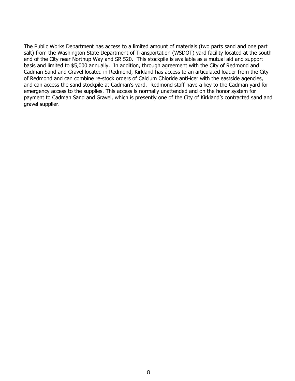The Public Works Department has access to a limited amount of materials (two parts sand and one part salt) from the Washington State Department of Transportation (WSDOT) yard facility located at the south end of the City near Northup Way and SR 520. This stockpile is available as a mutual aid and support basis and limited to \$5,000 annually. In addition, through agreement with the City of Redmond and Cadman Sand and Gravel located in Redmond, Kirkland has access to an articulated loader from the City of Redmond and can combine re-stock orders of Calcium Chloride anti-icer with the eastside agencies, and can access the sand stockpile at Cadman's yard. Redmond staff have a key to the Cadman yard for emergency access to the supplies. This access is normally unattended and on the honor system for payment to Cadman Sand and Gravel, which is presently one of the City of Kirkland's contracted sand and gravel supplier.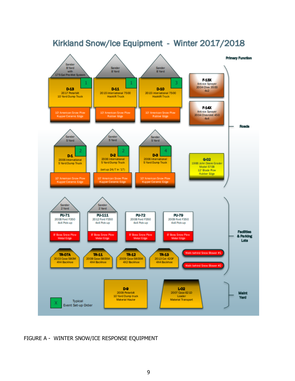

# Kirkland Snow/Ice Equipment - Winter 2017/2018

FIGURE A - WINTER SNOW/ICE RESPONSE EQUIPMENT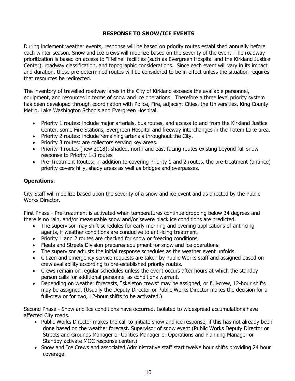# **RESPONSE TO SNOW/ICE EVENTS**

During inclement weather events, response will be based on priority routes established annually before each winter season. Snow and Ice crews will mobilize based on the severity of the event. The roadway prioritization is based on access to "lifeline" facilities (such as Evergreen Hospital and the Kirkland Justice Center), roadway classification, and topographic considerations. Since each event will vary in its impact and duration, these pre-determined routes will be considered to be in effect unless the situation requires that resources be redirected.

The inventory of travelled roadway lanes in the City of Kirkland exceeds the available personnel, equipment, and resources in terms of snow and ice operations. Therefore a three level priority system has been developed through coordination with Police, Fire, adjacent Cities, the Universities, King County Metro, Lake Washington Schools and Evergreen Hospital.

- Priority 1 routes: include major arterials, bus routes, and access to and from the Kirkland Justice Center, some Fire Stations, Evergreen Hospital and freeway interchanges in the Totem Lake area.
- Priority 2 routes: include remaining arterials throughout the City.
- Priority 3 routes: are collectors serving key areas.
- Priority 4 routes (new 2018): shaded, north and east-facing routes existing beyond full snow response to Priority 1-3 routes
- Pre-Treatment Routes: in addition to covering Priority 1 and 2 routes, the pre-treatment (anti-ice) priority covers hilly, shady areas as well as bridges and overpasses.

# **Operations**:

City Staff will mobilize based upon the severity of a snow and ice event and as directed by the Public Works Director.

First Phase - Pre-treatment is activated when temperatures continue dropping below 34 degrees and there is no rain, and/or measurable snow and/or severe black ice conditions are predicted.

- The supervisor may shift schedules for early morning and evening applications of anti-icing agents, if weather conditions are conducive to anti-icing treatment.
- Priority 1 and 2 routes are checked for snow or freezing conditions.
- Fleets and Streets Division prepares equipment for snow and ice operations.
- The supervisor adjusts the initial response schedules as the weather event unfolds.
- Citizen and emergency service requests are taken by Public Works staff and assigned based on crew availability according to pre-established priority routes.
- Crews remain on regular schedules unless the event occurs after hours at which the standby person calls for additional personnel as conditions warrant.
- Depending on weather forecasts, "skeleton crews" may be assigned, or full-crew, 12-hour shifts may be assigned. (Usually the Deputy Director or Public Works Director makes the decision for a full-crew or for two, 12-hour shifts to be activated.)

Second Phase - Snow and Ice conditions have occurred. Isolated to widespread accumulations have affected City roads.

- Public Works Director makes the call to initiate snow and ice response, if this has not already been done based on the weather forecast. Supervisor of snow event (Public Works Deputy Director or Streets and Grounds Manager or Utilities Manager or Operations and Planning Manager or Standby activate MOC response center.)
- Snow and Ice Crews and associated Administrative staff start twelve hour shifts providing 24 hour coverage.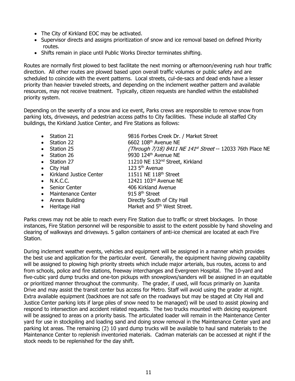- The City of Kirkland EOC may be activated.
- Supervisor directs and assigns prioritization of snow and ice removal based on defined Priority routes.
- Shifts remain in place until Public Works Director terminates shifting.

Routes are normally first plowed to best facilitate the next morning or afternoon/evening rush hour traffic direction. All other routes are plowed based upon overall traffic volumes or public safety and are scheduled to coincide with the event patterns. Local streets, cul-de-sacs and dead ends have a lesser priority than heavier traveled streets, and depending on the inclement weather pattern and available resources, may not receive treatment. Typically, citizen requests are handled within the established priority system.

Depending on the severity of a snow and ice event, Parks crews are responsible to remove snow from parking lots, driveways, and pedestrian access paths to City facilities. These include all staffed City buildings, the Kirkland Justice Center, and Fire Stations as follows:

- 
- 
- 
- 
- 
- 
- Kirkland Justice Center 11511 NE 118<sup>th</sup> Street
- 
- Senior Center 406 Kirkland Avenue
- Maintenance Center 915 8<sup>th</sup> Street
- 
- 
- Station 21 9816 Forbes Creek Dr. / Market Street
- Station 22 6602 108<sup>th</sup> Avenue NE
- Station 25  $(Through\ 7/18)$  8411 NE 141<sup>st</sup> Street -- 12033 76th Place NE
- $\bullet$  Station 26  $\bullet$  9930 124<sup>th</sup> Avenue NE
- Station 27 11210 NE 132<sup>nd</sup> Street, Kirkland
	- City Hall  $123.5<sup>th</sup>$  Avenue
- N.K.C.C. 12421 103rd Avenue NE
	-
	-
- Annex Building Directly South of City Hall
	- Heritage Hall Market and 5<sup>th</sup> West Street.

Parks crews may not be able to reach every Fire Station due to traffic or street blockages. In those instances, Fire Station personnel will be responsible to assist to the extent possible by hand shoveling and clearing of walkways and driveways. 5 gallon containers of anti-ice chemical are located at each Fire Station.

During inclement weather events, vehicles and equipment will be assigned in a manner which provides the best use and application for the particular event. Generally, the equipment having plowing capability will be assigned to plowing high priority streets which include major arterials, bus routes, access to and from schools, police and fire stations, freeway interchanges and Evergreen Hospital. The 10-yard and five-cubic yard dump trucks and one-ton pickups with snowplows/sanders will be assigned in an equitable or prioritized manner throughout the community. The grader, if used, will focus primarily on Juanita Drive and may assist the transit center bus access for Metro. Staff will avoid using the grader at night. Extra available equipment (backhoes are not safe on the roadways but may be staged at City Hall and Justice Center parking lots if large piles of snow need to be managed) will be used to assist plowing and respond to intersection and accident related requests. The two trucks mounted with deicing equipment will be assigned to areas on a priority basis. The articulated loader will remain in the Maintenance Center yard for use in stockpiling and loading sand and doing snow removal in the Maintenance Center yard and parking lot areas. The remaining (2) 10 yard dump trucks will be available to haul sand materials to the Maintenance Center to replenish inventoried materials. Cadman materials can be accessed at night if the stock needs to be replenished for the day shift.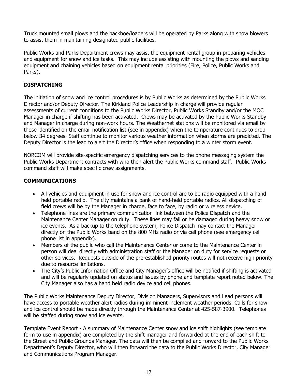Truck mounted small plows and the backhoe/loaders will be operated by Parks along with snow blowers to assist them in maintaining designated public facilities.

Public Works and Parks Department crews may assist the equipment rental group in preparing vehicles and equipment for snow and ice tasks. This may include assisting with mounting the plows and sanding equipment and chaining vehicles based on equipment rental priorities (Fire, Police, Public Works and Parks).

# **DISPATCHING**

The initiation of snow and ice control procedures is by Public Works as determined by the Public Works Director and/or Deputy Director. The Kirkland Police Leadership in charge will provide regular assessments of current conditions to the Public Works Director, Public Works Standby and/or the MOC Manager in charge if shifting has been activated. Crews may be activated by the Public Works Standby and Manager in charge during non-work hours. The Weathernet stations will be monitored via email by those identified on the email notification list (see in appendix) when the temperature continues to drop below 34 degrees. Staff continue to monitor various weather information when storms are predicted. The Deputy Director is the lead to alert the Director's office when responding to a winter storm event.

NORCOM will provide site-specific emergency dispatching services to the phone messaging system the Public Works Department contracts with who then alert the Public Works command staff. Public Works command staff will make specific crew assignments.

# **COMMUNICATIONS**

- All vehicles and equipment in use for snow and ice control are to be radio equipped with a hand held portable radio. The city maintains a bank of hand-held portable radios. All dispatching of field crews will be by the Manager in charge, face to face, by radio or wireless device.
- Telephone lines are the primary communication link between the Police Dispatch and the Maintenance Center Manager on duty. These lines may fail or be damaged during heavy snow or ice events. As a backup to the telephone system, Police Dispatch may contact the Manager directly on the Public Works band on the 800 MHz radio or via cell phone (see emergency cell phone list in appendix).
- Members of the public who call the Maintenance Center or come to the Maintenance Center in person will deal directly with administration staff or the Manager on duty for service requests or other services. Requests outside of the pre-established priority routes will not receive high priority due to resource limitations.
- The City's Public Information Office and City Manager's office will be notified if shifting is activated and will be regularly updated on status and issues by phone and template report noted below. The City Manager also has a hand held radio device and cell phones.

The Public Works Maintenance Deputy Director, Division Managers, Supervisors and Lead persons will have access to portable weather alert radios during imminent inclement weather periods. Calls for snow and ice control should be made directly through the Maintenance Center at 425-587-3900. Telephones will be staffed during snow and ice events.

Template Event Report - A summary of Maintenance Center snow and ice shift highlights (see template form to use in appendix) are completed by the shift manager and forwarded at the end of each shift to the Street and Public Grounds Manager. The data will then be compiled and forward to the Public Works Department's Deputy Director, who will then forward the data to the Public Works Director, City Manager and Communications Program Manager.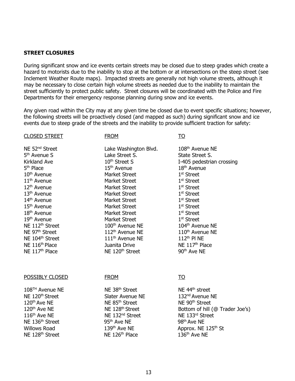### **STREET CLOSURES**

During significant snow and ice events certain streets may be closed due to steep grades which create a hazard to motorists due to the inability to stop at the bottom or at intersections on the steep street (see Inclement Weather Route maps). Impacted streets are generally not high volume streets, although it may be necessary to close certain high volume streets as needed due to the inability to maintain the street sufficiently to protect public safety. Street closures will be coordinated with the Police and Fire Departments for their emergency response planning during snow and ice events.

Any given road within the City may at any given time be closed due to event specific situations; however, the following streets will be proactively closed (and mapped as such) during significant snow and ice events due to steep grade of the streets and the inability to provide sufficient traction for safety:

#### CLOSED STREET FROM FROM TO

5<sup>th</sup> Avenue S Kirkland Ave 5<sup>th</sup> Place NE 97<sup>th</sup> Street NE 104<sup>th</sup> Street NE 116<sup>th</sup> Place NE 117<sup>th</sup> Place

NE 52<sup>nd</sup> Street Lake Washington Blvd. 108<sup>th</sup> Avenue NE Lake Street S. 10th Street S  $15<sup>th</sup>$  Avenue  $18<sup>th</sup>$  Avenue 10<sup>th</sup> Avenue Market Street 11<sup>th</sup> Avenue Market Street 12<sup>th</sup> Avenue Market Street 13<sup>th</sup> Avenue Market Street 14<sup>th</sup> Avenue Market Street 15<sup>th</sup> Avenue Market Street 18<sup>th</sup> Avenue Market Street 19<sup>th</sup> Avenue Market Street NE 112<sup>th</sup> Street 100<sup>th</sup> Avenue NE 104<sup>th</sup> Avenue NE 112<sup>th</sup> Avenue NE 111th Avenue NE Juanita Drive NE 120<sup>th</sup> Street

State Street S. I-405 pedestrian crossing 1<sup>st</sup> Street 1<sup>st</sup> Street 1<sup>st</sup> Street 1<sup>st</sup> Street 1<sup>st</sup> Street 1<sup>st</sup> Street 1<sup>st</sup> Street 1<sup>st</sup> Street 110<sup>th</sup> Avenue NE 112th Pl NE NE 117<sup>th</sup> Place 90th Ave NE

POSSIBLY CLOSED

108TH Avenue NE NE 120<sup>th</sup> Street 120th Ave NE 120<sup>th</sup> Ave NE 116<sup>th</sup> Ave NE NE 136<sup>th</sup> Street 95<sup>th</sup> Ave NE 98<sup>th</sup> Ave NE NE  $128<sup>th</sup>$  Street  $N$  NE  $126<sup>th</sup>$  Place  $136<sup>th</sup>$  Ave NE

FROM

NE 38<sup>th</sup> Street Slater Avenue NE NE 85<sup>th</sup> Street NE 128<sup>th</sup> Street NE 132<sup>nd</sup> Street

TO

NE 44<sup>th</sup> street 132nd Avenue NE NE 90<sup>th</sup> Street Bottom of hill (@ Trader Joe's) NE 133rd Street Willows Road 139<sup>th</sup> Ave NE Approx. NE 125<sup>th</sup> St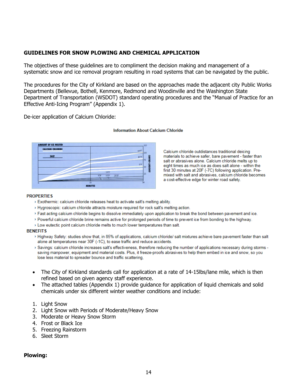# **GUIDELINES FOR SNOW PLOWING AND CHEMICAL APPLICATION**

The objectives of these guidelines are to compliment the decision making and management of a systematic snow and ice removal program resulting in road systems that can be navigated by the public.

The procedures for the City of Kirkland are based on the approaches made the adjacent city Public Works Departments (Bellevue, Bothell, Kenmore, Redmond and Woodinville and the Washington State Department of Transportation (WSDOT) standard operating procedures and the "Manual of Practice for an Effective Anti-Icing Program" (Appendix 1).

De-icer application of Calcium Chloride:



#### **Information About Calcium Chloride**

Calcium chloride outdistances traditional deicing materials to achieve safer, bare pavement - faster than salt or abrasives alone. Calcium chloride melts up to eight times as much ice as does salt alone - within the first 30 minutes at 20F (-7C) following application. Premixed with salt and abrasives, calcium chloride becomes a cost-effective edge for winter road safety.

#### **PROPERTIES**

- > Exothermic: calcium chloride releases heat to activate salt's melting ability.
- > Hygroscopic: calcium chloride attracts moisture required for rock salt's melting action.
- > Fast acting calcium chloride begins to dissolve immediately upon application to break the bond between pavement and ice.
- > Powerful calcium chloride brine remains active for prolonged periods of time to prevent ice from bonding to the highway.
- > Low eutectic point calcium chloride melts to much lower temperatures than salt.

#### **BENEFITS**

- > Highway Safety: studies show that, in 85% of applications, calcium chloride/ salt mixtures achieve bare pavement faster than salt alone at temperatures near 30F (-1C), to ease traffic and reduce accidents.
- > Savings: calcium chloride increases salt's effectiveness, therefore reducing the number of applications necessary during storms saving manpower, equipment and material costs. Plus, it freeze-proofs abrasives to help them embed in ice and snow, so you lose less material to spreader bounce and traffic scattering.
- The City of Kirkland standards call for application at a rate of 14-15 lbs/lane mile, which is then refined based on given agency staff experience.
- The attached tables (Appendix 1) provide guidance for application of liquid chemicals and solid chemicals under six different winter weather conditions and include:
- 1. Light Snow
- 2. Light Snow with Periods of Moderate/Heavy Snow
- 3. Moderate or Heavy Snow Storm
- 4. Frost or Black Ice
- 5. Freezing Rainstorm
- 6. Sleet Storm

### **Plowing:**